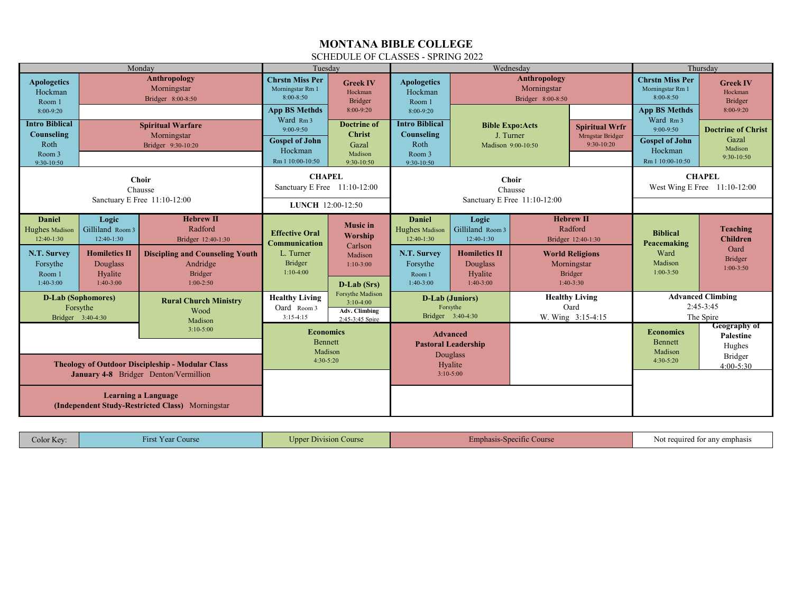## **MONTANA BIBLE COLLEGE**

## SCHEDULE OF CLASSES - SPRING 2022

| Monday                                                                                                          |                                                                                                         | Tuesdav                                                                                                                           |                                                                                                                                   | Wednesdav                                                                             |                                                                                                               |                                                                                                         | Thursday                                             |                                                                                                                             |                                                                                                         |                                                                             |
|-----------------------------------------------------------------------------------------------------------------|---------------------------------------------------------------------------------------------------------|-----------------------------------------------------------------------------------------------------------------------------------|-----------------------------------------------------------------------------------------------------------------------------------|---------------------------------------------------------------------------------------|---------------------------------------------------------------------------------------------------------------|---------------------------------------------------------------------------------------------------------|------------------------------------------------------|-----------------------------------------------------------------------------------------------------------------------------|---------------------------------------------------------------------------------------------------------|-----------------------------------------------------------------------------|
| <b>Apologetics</b><br>Hockman<br>Room 1<br>8:00-9:20                                                            |                                                                                                         | Anthropology<br>Morningstar<br>Bridger 8:00-8:50                                                                                  | <b>Chrstn Miss Per</b><br>Morningstar Rm 1<br>8:00-8:50<br><b>App BS Methds</b><br>Ward Rm <sub>3</sub>                           | <b>Greek IV</b><br>Hockman<br>Bridger<br>8:00-9:20                                    | <b>Apologetics</b><br>Hockman<br>Room 1<br>8:00-9:20                                                          |                                                                                                         | Anthropology<br>Morningstar<br>Bridger 8:00-8:50     |                                                                                                                             | <b>Chrstn Miss Per</b><br>Morningstar Rm 1<br>8:00-8:50<br><b>App BS Methds</b><br>Ward Rm <sub>3</sub> | <b>Greek IV</b><br>Hockman<br>Bridger<br>$8:00-9:20$                        |
| <b>Intro Biblical</b><br>Counseling<br>Roth<br>Room 3<br>9:30-10:50                                             |                                                                                                         | <b>Spiritual Warfare</b><br>Morningstar<br>Bridger 9:30-10:20                                                                     | $9:00-9:50$<br><b>Gospel of John</b><br>Hockman<br>Rm 1 10:00-10:50                                                               | <b>Doctrine of</b><br><b>Christ</b><br>Gazal<br>Madison<br>9:30-10:50                 | <b>Intro Biblical</b><br>Counseling<br>Roth<br>Room 3<br>9:30-10:50                                           | <b>Bible Expo:Acts</b><br>J. Turner<br>Mrngstar Bridger<br>$9:30-10:20$<br>Madison 9:00-10:50           |                                                      | <b>Spiritual Wrfr</b>                                                                                                       | $9:00-9:50$<br><b>Gospel of John</b><br>Hockman<br>Rm 1 10:00-10:50                                     | <b>Doctrine of Christ</b><br>Gazal<br>Madison<br>$9:30-10:50$               |
| <b>Choir</b><br>Chausse                                                                                         |                                                                                                         |                                                                                                                                   | <b>CHAPEL</b><br>Sanctuary E Free 11:10-12:00                                                                                     |                                                                                       | <b>Choir</b><br>Chausse<br>Sanctuary E Free 11:10-12:00                                                       |                                                                                                         |                                                      | <b>CHAPEL</b><br>West Wing E Free 11:10-12:00                                                                               |                                                                                                         |                                                                             |
| Sanctuary E Free 11:10-12:00                                                                                    |                                                                                                         |                                                                                                                                   |                                                                                                                                   | LUNCH 12:00-12:50                                                                     |                                                                                                               |                                                                                                         |                                                      |                                                                                                                             |                                                                                                         |                                                                             |
| <b>Daniel</b><br>Hughes Madison<br>12:40-1:30<br>N.T. Survey<br>Forsythe<br>Room 1<br>$1:40-3:00$               | Logic<br>Gilliland Room 3<br>$12:40-1:30$<br><b>Homiletics II</b><br>Douglass<br>Hyalite<br>$1:40-3:00$ | <b>Hebrew II</b><br>Radford<br>Bridger 12:40-1:30<br><b>Discipling and Counseling Youth</b><br>Andridge<br>Bridger<br>$1:00-2:50$ | <b>Effective Oral</b><br><b>Communication</b><br>L. Turner<br>Bridger<br>$1:10-4:00$                                              | <b>Music</b> in<br><b>Worship</b><br>Carlson<br>Madison<br>$1:10-3:00$<br>D-Lab (Srs) | <b>Daniel</b><br>Hughes Madison<br>$12:40-1:30$<br>N.T. Survey<br>Forsythe<br>Room 1<br>$1:40-3:00$           | Logic<br>Gilliland Room 3<br>$12:40-1:30$<br><b>Homiletics II</b><br>Douglass<br>Hyalite<br>$1:40-3:00$ |                                                      | <b>Hebrew II</b><br>Radford<br>Bridger 12:40-1:30<br><b>World Religions</b><br>Morningstar<br><b>Bridger</b><br>$1:40-3:30$ | <b>Biblical</b><br>Peacemaking<br>Ward<br>Madison<br>$1:00-3:50$                                        | <b>Teaching</b><br><b>Children</b><br>Oard<br><b>Bridger</b><br>$1:00-3:50$ |
| <b>D-Lab (Sophomores)</b><br>Forsythe<br>Bridger 3:40-4:30                                                      |                                                                                                         | <b>Rural Church Ministry</b><br>Wood<br>Madison                                                                                   | Forsythe Madison<br><b>Healthy Living</b><br>$3:10-4:00$<br>Oard Room 3<br><b>Adv. Climbing</b><br>$3:15-4:15$<br>2:45-3:45 Spire |                                                                                       | <b>Healthy Living</b><br><b>D-Lab</b> (Juniors)<br>Oard<br>Forsythe<br>Bridger 3:40-4:30<br>W. Wing 3:15-4:15 |                                                                                                         | <b>Advanced Climbing</b><br>$2:45-3:45$<br>The Spire |                                                                                                                             |                                                                                                         |                                                                             |
| $3:10-5:00$<br><b>Theology of Outdoor Discipleship - Modular Class</b><br>January 4-8 Bridger Denton/Vermillion |                                                                                                         |                                                                                                                                   | <b>Economics</b><br><b>Bennett</b><br>Madison<br>$4:30-5:20$                                                                      |                                                                                       | <b>Advanced</b><br><b>Pastoral Leadership</b><br>Douglass<br>Hyalite<br>$3:10-5:00$                           |                                                                                                         |                                                      |                                                                                                                             | <b>Economics</b><br><b>Bennett</b><br>Madison<br>$4:30-5:20$                                            | <b>Geography of</b><br>Palestine<br>Hughes<br>Bridger<br>$4:00 - 5:30$      |
| <b>Learning a Language</b><br>(Independent Study-Restricted Class) Morningstar                                  |                                                                                                         |                                                                                                                                   |                                                                                                                                   |                                                                                       |                                                                                                               |                                                                                                         |                                                      |                                                                                                                             |                                                                                                         |                                                                             |

| $\sim$ olor Key<br>- 7<br>irst Year Course<br>1rs | --<br><b>J</b> nne<br>i Course<br>. LIEVISION | <b>imphasis</b><br>ic Course<br><b>ANDERSTE</b> | t required for any emphasis<br>the contract of the contract of the contract of the contract of the contract of |
|---------------------------------------------------|-----------------------------------------------|-------------------------------------------------|----------------------------------------------------------------------------------------------------------------|
|---------------------------------------------------|-----------------------------------------------|-------------------------------------------------|----------------------------------------------------------------------------------------------------------------|